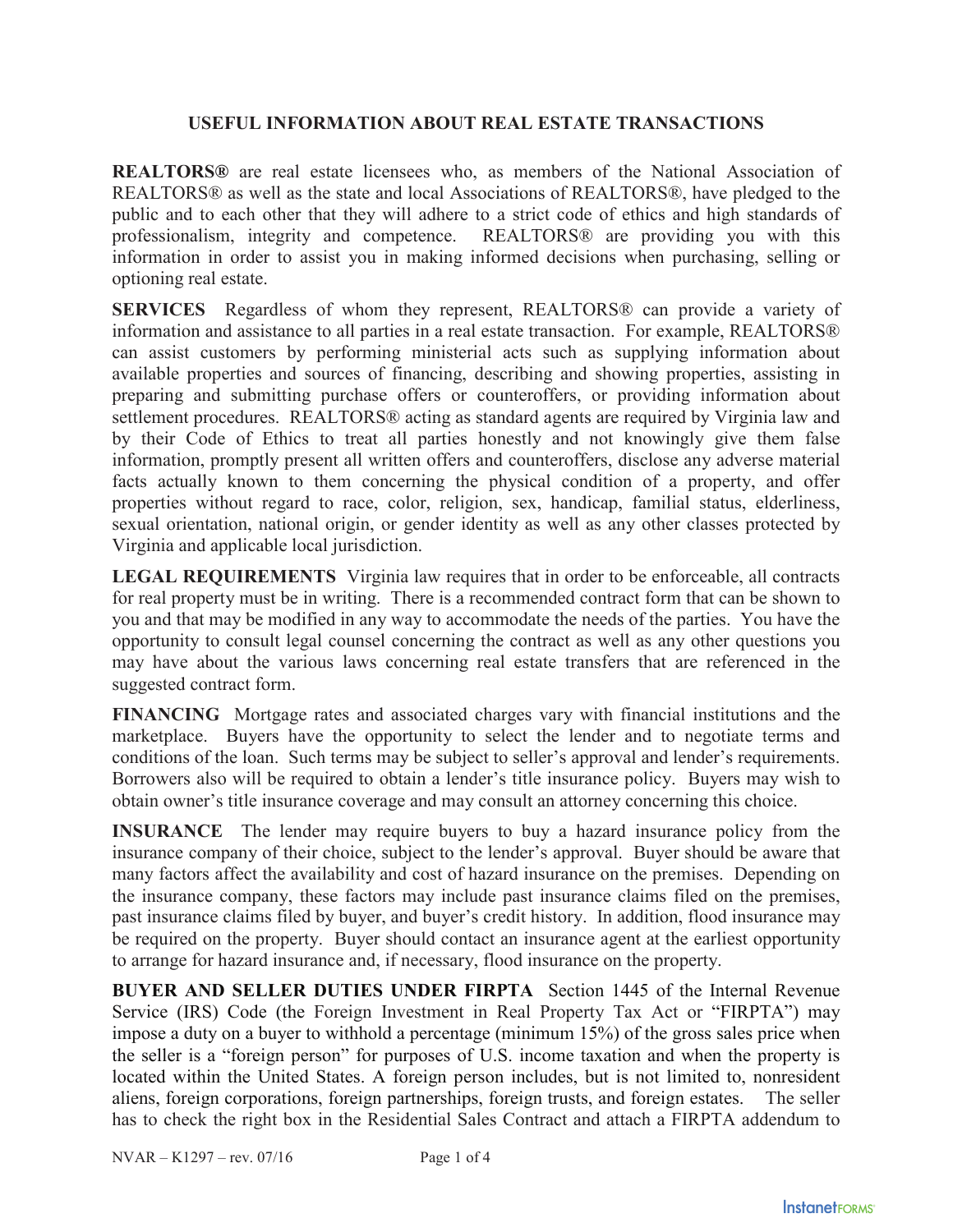## **USEFUL INFORMATION ABOUT REAL ESTATE TRANSACTIONS**

**REALTORS®** are real estate licensees who, as members of the National Association of REALTORS® as well as the state and local Associations of REALTORS®, have pledged to the public and to each other that they will adhere to a strict code of ethics and high standards of professionalism, integrity and competence. REALTORS® are providing you with this information in order to assist you in making informed decisions when purchasing, selling or optioning real estate.

**SERVICES** Regardless of whom they represent, REALTORS® can provide a variety of information and assistance to all parties in a real estate transaction. For example, REALTORS® can assist customers by performing ministerial acts such as supplying information about available properties and sources of financing, describing and showing properties, assisting in preparing and submitting purchase offers or counteroffers, or providing information about settlement procedures. REALTORS® acting as standard agents are required by Virginia law and by their Code of Ethics to treat all parties honestly and not knowingly give them false information, promptly present all written offers and counteroffers, disclose any adverse material facts actually known to them concerning the physical condition of a property, and offer properties without regard to race, color, religion, sex, handicap, familial status, elderliness, sexual orientation, national origin, or gender identity as well as any other classes protected by Virginia and applicable local jurisdiction.

**LEGAL REQUIREMENTS** Virginia law requires that in order to be enforceable, all contracts for real property must be in writing. There is a recommended contract form that can be shown to you and that may be modified in any way to accommodate the needs of the parties. You have the opportunity to consult legal counsel concerning the contract as well as any other questions you may have about the various laws concerning real estate transfers that are referenced in the suggested contract form.

**FINANCING** Mortgage rates and associated charges vary with financial institutions and the marketplace. Buyers have the opportunity to select the lender and to negotiate terms and conditions of the loan. Such terms may be subject to seller's approval and lender's requirements. Borrowers also will be required to obtain a lender's title insurance policy. Buyers may wish to obtain owner's title insurance coverage and may consult an attorney concerning this choice.

**INSURANCE** The lender may require buyers to buy a hazard insurance policy from the insurance company of their choice, subject to the lender's approval. Buyer should be aware that many factors affect the availability and cost of hazard insurance on the premises. Depending on the insurance company, these factors may include past insurance claims filed on the premises, past insurance claims filed by buyer, and buyer's credit history. In addition, flood insurance may be required on the property. Buyer should contact an insurance agent at the earliest opportunity to arrange for hazard insurance and, if necessary, flood insurance on the property.

**BUYER AND SELLER DUTIES UNDER FIRPTA** Section 1445 of the Internal Revenue Service (IRS) Code (the Foreign Investment in Real Property Tax Act or "FIRPTA") may impose a duty on a buyer to withhold a percentage (minimum 15%) of the gross sales price when the seller is a "foreign person" for purposes of U.S. income taxation and when the property is located within the United States. A foreign person includes, but is not limited to, nonresident aliens, foreign corporations, foreign partnerships, foreign trusts, and foreign estates. The seller has to check the right box in the Residential Sales Contract and attach a FIRPTA addendum to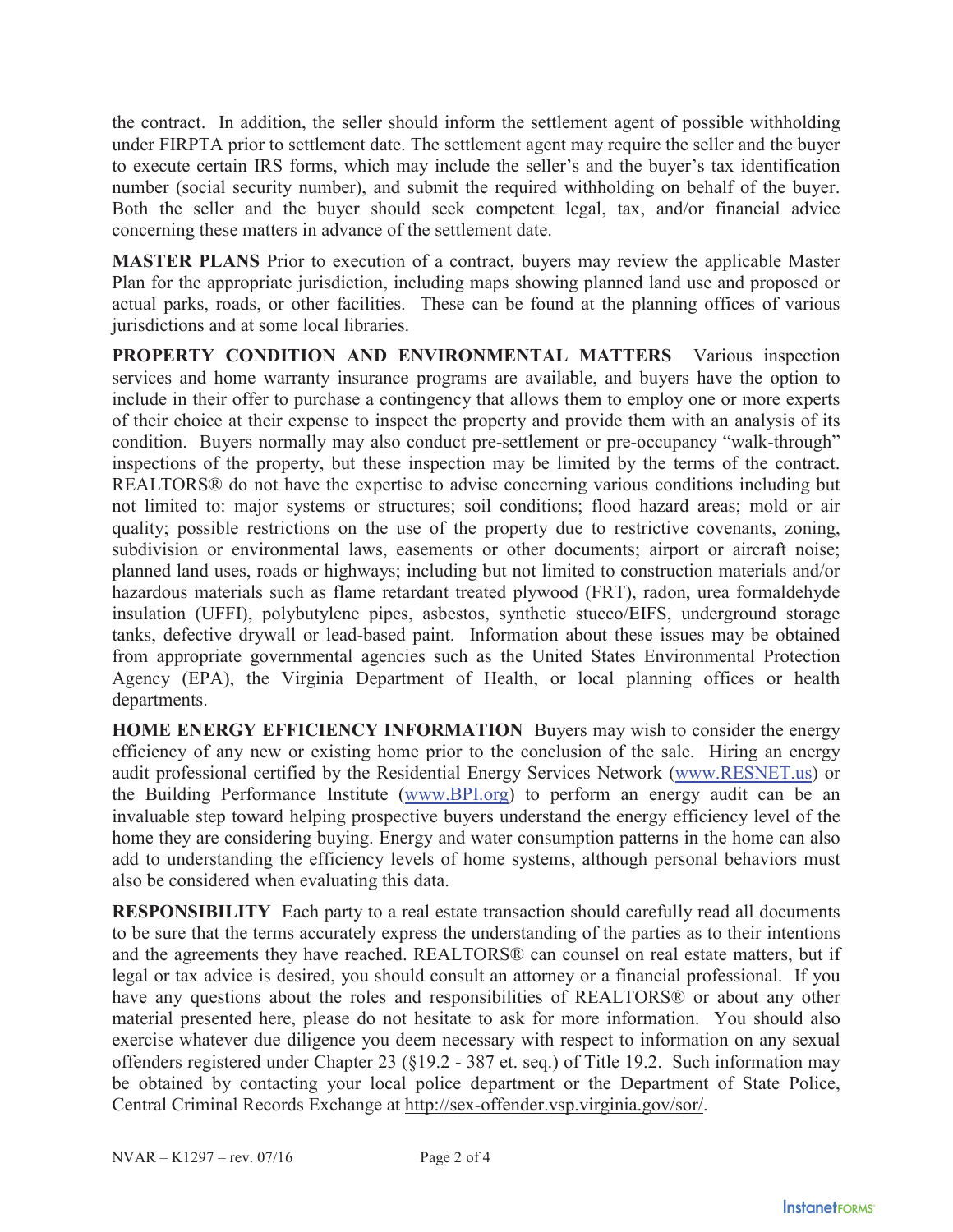the contract. In addition, the seller should inform the settlement agent of possible withholding under FIRPTA prior to settlement date. The settlement agent may require the seller and the buyer to execute certain IRS forms, which may include the seller's and the buyer's tax identification number (social security number), and submit the required withholding on behalf of the buyer. Both the seller and the buyer should seek competent legal, tax, and/or financial advice concerning these matters in advance of the settlement date.

**MASTER PLANS** Prior to execution of a contract, buyers may review the applicable Master Plan for the appropriate jurisdiction, including maps showing planned land use and proposed or actual parks, roads, or other facilities. These can be found at the planning offices of various jurisdictions and at some local libraries.

**PROPERTY CONDITION AND ENVIRONMENTAL MATTERS** Various inspection services and home warranty insurance programs are available, and buyers have the option to include in their offer to purchase a contingency that allows them to employ one or more experts of their choice at their expense to inspect the property and provide them with an analysis of its condition. Buyers normally may also conduct pre-settlement or pre-occupancy "walk-through" inspections of the property, but these inspection may be limited by the terms of the contract. REALTORS® do not have the expertise to advise concerning various conditions including but not limited to: major systems or structures; soil conditions; flood hazard areas; mold or air quality; possible restrictions on the use of the property due to restrictive covenants, zoning, subdivision or environmental laws, easements or other documents; airport or aircraft noise; planned land uses, roads or highways; including but not limited to construction materials and/or hazardous materials such as flame retardant treated plywood (FRT), radon, urea formaldehyde insulation (UFFI), polybutylene pipes, asbestos, synthetic stucco/EIFS, underground storage tanks, defective drywall or lead-based paint. Information about these issues may be obtained from appropriate governmental agencies such as the United States Environmental Protection Agency (EPA), the Virginia Department of Health, or local planning offices or health departments.

**HOME ENERGY EFFICIENCY INFORMATION** Buyers may wish to consider the energy efficiency of any new or existing home prior to the conclusion of the sale. Hiring an energy audit professional certified by the Residential Energy Services Network (www.RESNET.us) or the Building Performance Institute (www.BPI.org) to perform an energy audit can be an invaluable step toward helping prospective buyers understand the energy efficiency level of the home they are considering buying. Energy and water consumption patterns in the home can also add to understanding the efficiency levels of home systems, although personal behaviors must also be considered when evaluating this data.

**RESPONSIBILITY** Each party to a real estate transaction should carefully read all documents to be sure that the terms accurately express the understanding of the parties as to their intentions and the agreements they have reached. REALTORS® can counsel on real estate matters, but if legal or tax advice is desired, you should consult an attorney or a financial professional. If you have any questions about the roles and responsibilities of REALTORS® or about any other material presented here, please do not hesitate to ask for more information. You should also exercise whatever due diligence you deem necessary with respect to information on any sexual offenders registered under Chapter 23 (§19.2 - 387 et. seq.) of Title 19.2. Such information may be obtained by contacting your local police department or the Department of State Police, Central Criminal Records Exchange at http://sex-offender.vsp.virginia.gov/sor/.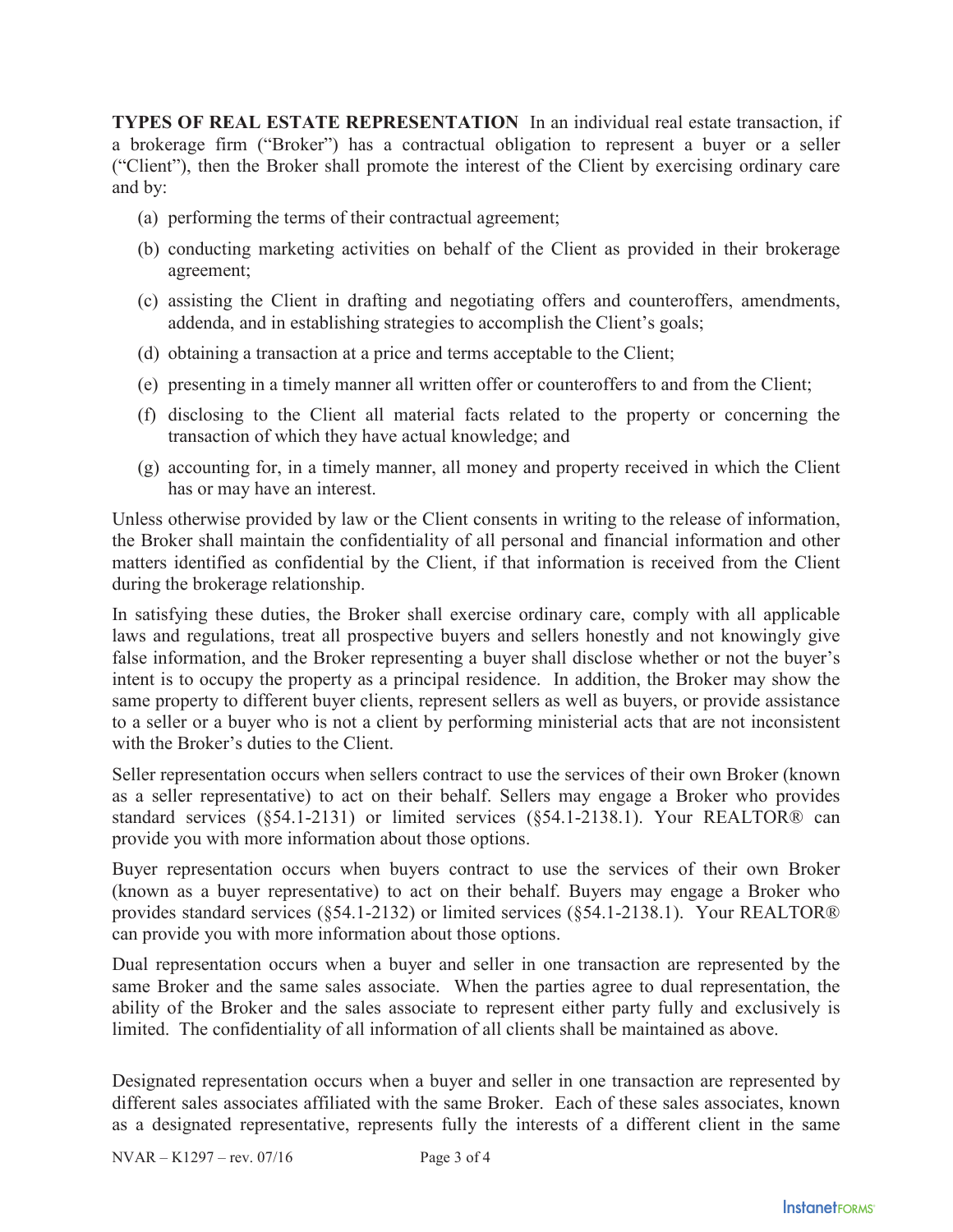**TYPES OF REAL ESTATE REPRESENTATION** In an individual real estate transaction, if a brokerage firm ("Broker") has a contractual obligation to represent a buyer or a seller ("Client"), then the Broker shall promote the interest of the Client by exercising ordinary care and by:

- (a) performing the terms of their contractual agreement;
- (b) conducting marketing activities on behalf of the Client as provided in their brokerage agreement;
- (c) assisting the Client in drafting and negotiating offers and counteroffers, amendments, addenda, and in establishing strategies to accomplish the Client's goals;
- (d) obtaining a transaction at a price and terms acceptable to the Client;
- (e) presenting in a timely manner all written offer or counteroffers to and from the Client;
- (f) disclosing to the Client all material facts related to the property or concerning the transaction of which they have actual knowledge; and
- (g) accounting for, in a timely manner, all money and property received in which the Client has or may have an interest.

Unless otherwise provided by law or the Client consents in writing to the release of information, the Broker shall maintain the confidentiality of all personal and financial information and other matters identified as confidential by the Client, if that information is received from the Client during the brokerage relationship.

In satisfying these duties, the Broker shall exercise ordinary care, comply with all applicable laws and regulations, treat all prospective buyers and sellers honestly and not knowingly give false information, and the Broker representing a buyer shall disclose whether or not the buyer's intent is to occupy the property as a principal residence. In addition, the Broker may show the same property to different buyer clients, represent sellers as well as buyers, or provide assistance to a seller or a buyer who is not a client by performing ministerial acts that are not inconsistent with the Broker's duties to the Client.

Seller representation occurs when sellers contract to use the services of their own Broker (known as a seller representative) to act on their behalf. Sellers may engage a Broker who provides standard services (§54.1-2131) or limited services (§54.1-2138.1). Your REALTOR® can provide you with more information about those options.

Buyer representation occurs when buyers contract to use the services of their own Broker (known as a buyer representative) to act on their behalf. Buyers may engage a Broker who provides standard services (§54.1-2132) or limited services (§54.1-2138.1). Your REALTOR® can provide you with more information about those options.

Dual representation occurs when a buyer and seller in one transaction are represented by the same Broker and the same sales associate. When the parties agree to dual representation, the ability of the Broker and the sales associate to represent either party fully and exclusively is limited. The confidentiality of all information of all clients shall be maintained as above.

Designated representation occurs when a buyer and seller in one transaction are represented by different sales associates affiliated with the same Broker. Each of these sales associates, known as a designated representative, represents fully the interests of a different client in the same